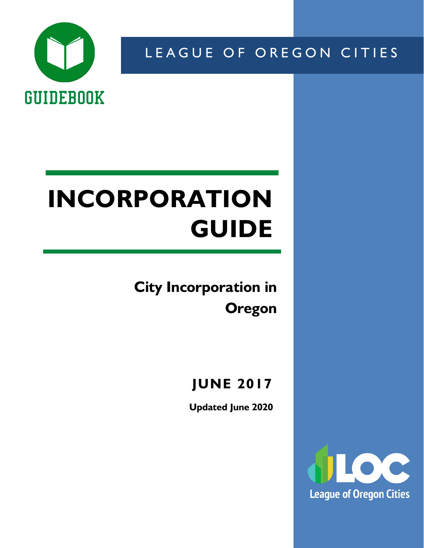

LEAGUE OF OREGON CITIES

# **INCORPORATION GUIDE**

**City Incorporation in Oregon**

**JUNE 2017**

**Updated June 2020**

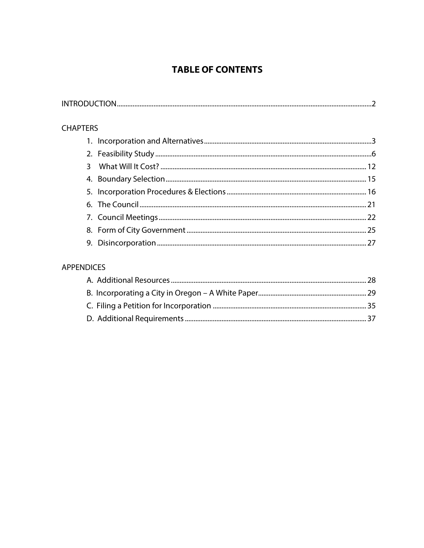## **TABLE OF CONTENTS**

| <b>CHAPTERS</b> |  |
|-----------------|--|
|                 |  |
|                 |  |
| 3               |  |
|                 |  |
|                 |  |
|                 |  |
|                 |  |
|                 |  |
|                 |  |
|                 |  |

## **APPENDICES**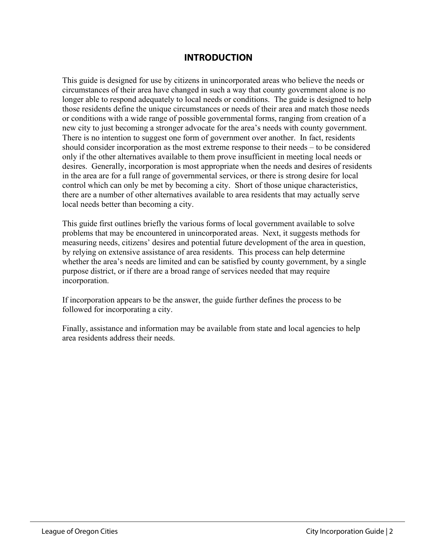#### **INTRODUCTION**

This guide is designed for use by citizens in unincorporated areas who believe the needs or circumstances of their area have changed in such a way that county government alone is no longer able to respond adequately to local needs or conditions. The guide is designed to help those residents define the unique circumstances or needs of their area and match those needs or conditions with a wide range of possible governmental forms, ranging from creation of a new city to just becoming a stronger advocate for the area's needs with county government. There is no intention to suggest one form of government over another. In fact, residents should consider incorporation as the most extreme response to their needs – to be considered only if the other alternatives available to them prove insufficient in meeting local needs or desires. Generally, incorporation is most appropriate when the needs and desires of residents in the area are for a full range of governmental services, or there is strong desire for local control which can only be met by becoming a city. Short of those unique characteristics, there are a number of other alternatives available to area residents that may actually serve local needs better than becoming a city.

This guide first outlines briefly the various forms of local government available to solve problems that may be encountered in unincorporated areas. Next, it suggests methods for measuring needs, citizens' desires and potential future development of the area in question, by relying on extensive assistance of area residents. This process can help determine whether the area's needs are limited and can be satisfied by county government, by a single purpose district, or if there are a broad range of services needed that may require incorporation.

If incorporation appears to be the answer, the guide further defines the process to be followed for incorporating a city.

Finally, assistance and information may be available from state and local agencies to help area residents address their needs.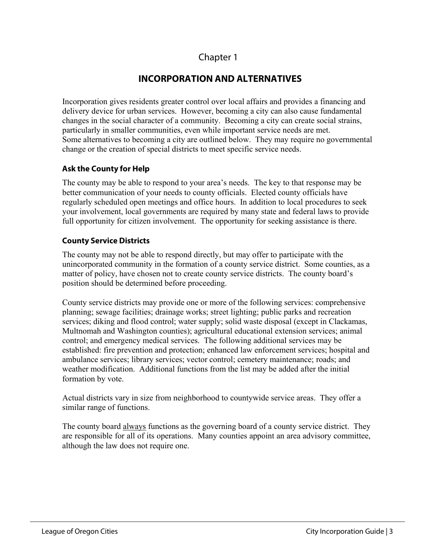## **INCORPORATION AND ALTERNATIVES**

Incorporation gives residents greater control over local affairs and provides a financing and delivery device for urban services. However, becoming a city can also cause fundamental changes in the social character of a community. Becoming a city can create social strains, particularly in smaller communities, even while important service needs are met. Some alternatives to becoming a city are outlined below. They may require no governmental change or the creation of special districts to meet specific service needs.

#### **Ask the County for Help**

The county may be able to respond to your area's needs. The key to that response may be better communication of your needs to county officials. Elected county officials have regularly scheduled open meetings and office hours. In addition to local procedures to seek your involvement, local governments are required by many state and federal laws to provide full opportunity for citizen involvement. The opportunity for seeking assistance is there.

#### **County Service Districts**

The county may not be able to respond directly, but may offer to participate with the unincorporated community in the formation of a county service district. Some counties, as a matter of policy, have chosen not to create county service districts. The county board's position should be determined before proceeding.

County service districts may provide one or more of the following services: comprehensive planning; sewage facilities; drainage works; street lighting; public parks and recreation services; diking and flood control; water supply; solid waste disposal (except in Clackamas, Multnomah and Washington counties); agricultural educational extension services; animal control; and emergency medical services. The following additional services may be established: fire prevention and protection; enhanced law enforcement services; hospital and ambulance services; library services; vector control; cemetery maintenance; roads; and weather modification. Additional functions from the list may be added after the initial formation by vote.

Actual districts vary in size from neighborhood to countywide service areas. They offer a similar range of functions.

The county board always functions as the governing board of a county service district. They are responsible for all of its operations. Many counties appoint an area advisory committee, although the law does not require one.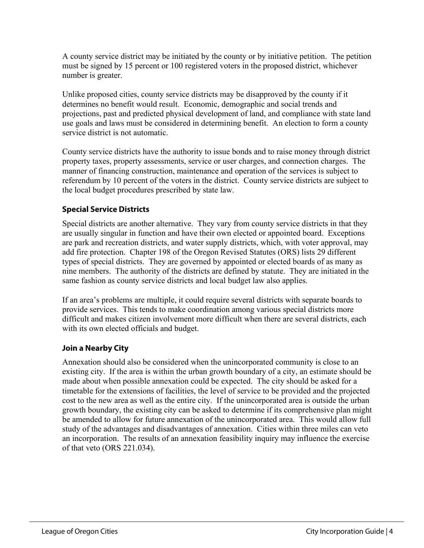A county service district may be initiated by the county or by initiative petition. The petition must be signed by 15 percent or 100 registered voters in the proposed district, whichever number is greater.

Unlike proposed cities, county service districts may be disapproved by the county if it determines no benefit would result. Economic, demographic and social trends and projections, past and predicted physical development of land, and compliance with state land use goals and laws must be considered in determining benefit. An election to form a county service district is not automatic.

County service districts have the authority to issue bonds and to raise money through district property taxes, property assessments, service or user charges, and connection charges. The manner of financing construction, maintenance and operation of the services is subject to referendum by 10 percent of the voters in the district. County service districts are subject to the local budget procedures prescribed by state law.

#### **Special Service Districts**

Special districts are another alternative. They vary from county service districts in that they are usually singular in function and have their own elected or appointed board. Exceptions are park and recreation districts, and water supply districts, which, with voter approval, may add fire protection. Chapter 198 of the Oregon Revised Statutes (ORS) lists 29 different types of special districts. They are governed by appointed or elected boards of as many as nine members. The authority of the districts are defined by statute. They are initiated in the same fashion as county service districts and local budget law also applies.

If an area's problems are multiple, it could require several districts with separate boards to provide services. This tends to make coordination among various special districts more difficult and makes citizen involvement more difficult when there are several districts, each with its own elected officials and budget.

#### **Join a Nearby City**

Annexation should also be considered when the unincorporated community is close to an existing city. If the area is within the urban growth boundary of a city, an estimate should be made about when possible annexation could be expected. The city should be asked for a timetable for the extensions of facilities, the level of service to be provided and the projected cost to the new area as well as the entire city. If the unincorporated area is outside the urban growth boundary, the existing city can be asked to determine if its comprehensive plan might be amended to allow for future annexation of the unincorporated area. This would allow full study of the advantages and disadvantages of annexation. Cities within three miles can veto an incorporation. The results of an annexation feasibility inquiry may influence the exercise of that veto (ORS 221.034).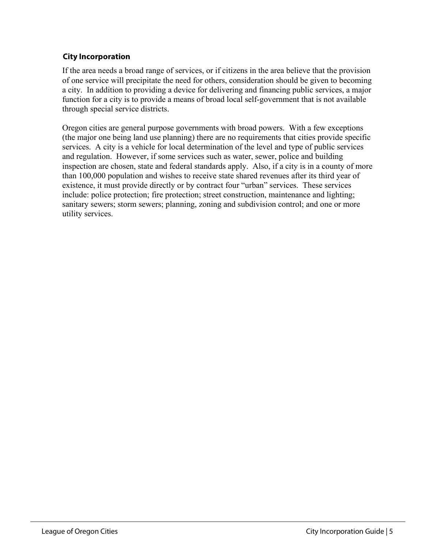#### **City Incorporation**

If the area needs a broad range of services, or if citizens in the area believe that the provision of one service will precipitate the need for others, consideration should be given to becoming a city. In addition to providing a device for delivering and financing public services, a major function for a city is to provide a means of broad local self-government that is not available through special service districts.

Oregon cities are general purpose governments with broad powers. With a few exceptions (the major one being land use planning) there are no requirements that cities provide specific services. A city is a vehicle for local determination of the level and type of public services and regulation. However, if some services such as water, sewer, police and building inspection are chosen, state and federal standards apply. Also, if a city is in a county of more than 100,000 population and wishes to receive state shared revenues after its third year of existence, it must provide directly or by contract four "urban" services. These services include: police protection; fire protection; street construction, maintenance and lighting; sanitary sewers; storm sewers; planning, zoning and subdivision control; and one or more utility services.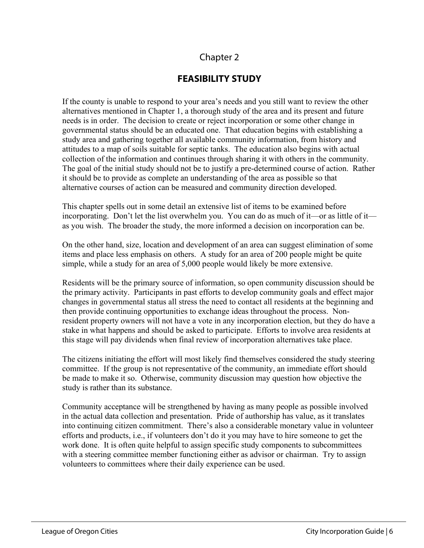## **FEASIBILITY STUDY**

If the county is unable to respond to your area's needs and you still want to review the other alternatives mentioned in Chapter 1, a thorough study of the area and its present and future needs is in order. The decision to create or reject incorporation or some other change in governmental status should be an educated one. That education begins with establishing a study area and gathering together all available community information, from history and attitudes to a map of soils suitable for septic tanks. The education also begins with actual collection of the information and continues through sharing it with others in the community. The goal of the initial study should not be to justify a pre-determined course of action. Rather it should be to provide as complete an understanding of the area as possible so that alternative courses of action can be measured and community direction developed.

This chapter spells out in some detail an extensive list of items to be examined before incorporating. Don't let the list overwhelm you. You can do as much of it—or as little of it as you wish. The broader the study, the more informed a decision on incorporation can be.

On the other hand, size, location and development of an area can suggest elimination of some items and place less emphasis on others. A study for an area of 200 people might be quite simple, while a study for an area of 5,000 people would likely be more extensive.

Residents will be the primary source of information, so open community discussion should be the primary activity. Participants in past efforts to develop community goals and effect major changes in governmental status all stress the need to contact all residents at the beginning and then provide continuing opportunities to exchange ideas throughout the process. Nonresident property owners will not have a vote in any incorporation election, but they do have a stake in what happens and should be asked to participate. Efforts to involve area residents at this stage will pay dividends when final review of incorporation alternatives take place.

The citizens initiating the effort will most likely find themselves considered the study steering committee. If the group is not representative of the community, an immediate effort should be made to make it so. Otherwise, community discussion may question how objective the study is rather than its substance.

Community acceptance will be strengthened by having as many people as possible involved in the actual data collection and presentation. Pride of authorship has value, as it translates into continuing citizen commitment. There's also a considerable monetary value in volunteer efforts and products, i.e., if volunteers don't do it you may have to hire someone to get the work done. It is often quite helpful to assign specific study components to subcommittees with a steering committee member functioning either as advisor or chairman. Try to assign volunteers to committees where their daily experience can be used.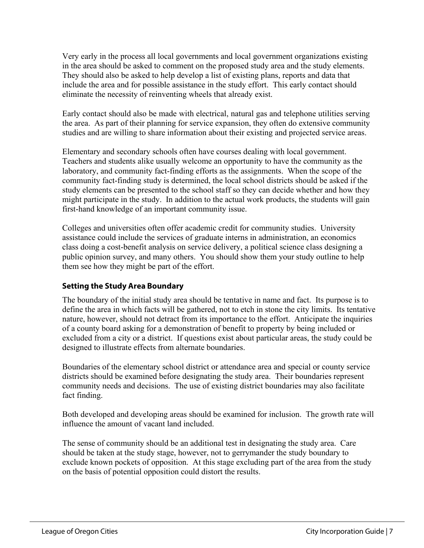Very early in the process all local governments and local government organizations existing in the area should be asked to comment on the proposed study area and the study elements. They should also be asked to help develop a list of existing plans, reports and data that include the area and for possible assistance in the study effort. This early contact should eliminate the necessity of reinventing wheels that already exist.

Early contact should also be made with electrical, natural gas and telephone utilities serving the area. As part of their planning for service expansion, they often do extensive community studies and are willing to share information about their existing and projected service areas.

Elementary and secondary schools often have courses dealing with local government. Teachers and students alike usually welcome an opportunity to have the community as the laboratory, and community fact-finding efforts as the assignments. When the scope of the community fact-finding study is determined, the local school districts should be asked if the study elements can be presented to the school staff so they can decide whether and how they might participate in the study. In addition to the actual work products, the students will gain first-hand knowledge of an important community issue.

Colleges and universities often offer academic credit for community studies. University assistance could include the services of graduate interns in administration, an economics class doing a cost-benefit analysis on service delivery, a political science class designing a public opinion survey, and many others. You should show them your study outline to help them see how they might be part of the effort.

#### **Setting the Study Area Boundary**

The boundary of the initial study area should be tentative in name and fact. Its purpose is to define the area in which facts will be gathered, not to etch in stone the city limits. Its tentative nature, however, should not detract from its importance to the effort. Anticipate the inquiries of a county board asking for a demonstration of benefit to property by being included or excluded from a city or a district. If questions exist about particular areas, the study could be designed to illustrate effects from alternate boundaries.

Boundaries of the elementary school district or attendance area and special or county service districts should be examined before designating the study area. Their boundaries represent community needs and decisions. The use of existing district boundaries may also facilitate fact finding.

Both developed and developing areas should be examined for inclusion. The growth rate will influence the amount of vacant land included.

The sense of community should be an additional test in designating the study area. Care should be taken at the study stage, however, not to gerrymander the study boundary to exclude known pockets of opposition. At this stage excluding part of the area from the study on the basis of potential opposition could distort the results.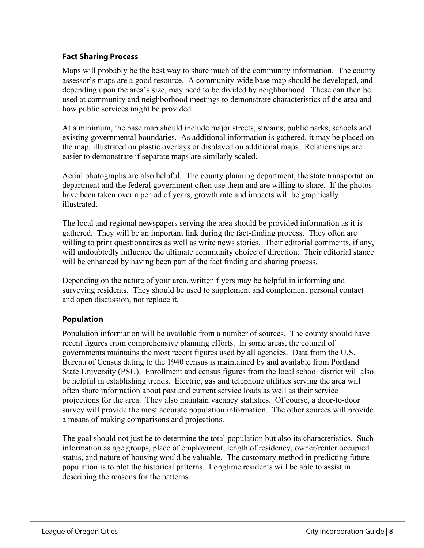#### **Fact Sharing Process**

Maps will probably be the best way to share much of the community information. The county assessor's maps are a good resource. A community-wide base map should be developed, and depending upon the area's size, may need to be divided by neighborhood. These can then be used at community and neighborhood meetings to demonstrate characteristics of the area and how public services might be provided.

At a minimum, the base map should include major streets, streams, public parks, schools and existing governmental boundaries. As additional information is gathered, it may be placed on the map, illustrated on plastic overlays or displayed on additional maps. Relationships are easier to demonstrate if separate maps are similarly scaled.

Aerial photographs are also helpful. The county planning department, the state transportation department and the federal government often use them and are willing to share. If the photos have been taken over a period of years, growth rate and impacts will be graphically illustrated.

The local and regional newspapers serving the area should be provided information as it is gathered. They will be an important link during the fact-finding process. They often are willing to print questionnaires as well as write news stories. Their editorial comments, if any, will undoubtedly influence the ultimate community choice of direction. Their editorial stance will be enhanced by having been part of the fact finding and sharing process.

Depending on the nature of your area, written flyers may be helpful in informing and surveying residents. They should be used to supplement and complement personal contact and open discussion, not replace it.

#### **Population**

Population information will be available from a number of sources. The county should have recent figures from comprehensive planning efforts. In some areas, the council of governments maintains the most recent figures used by all agencies. Data from the U.S. Bureau of Census dating to the 1940 census is maintained by and available from Portland State University (PSU). Enrollment and census figures from the local school district will also be helpful in establishing trends. Electric, gas and telephone utilities serving the area will often share information about past and current service loads as well as their service projections for the area. They also maintain vacancy statistics. Of course, a door-to-door survey will provide the most accurate population information. The other sources will provide a means of making comparisons and projections.

The goal should not just be to determine the total population but also its characteristics. Such information as age groups, place of employment, length of residency, owner/renter occupied status, and nature of housing would be valuable. The customary method in predicting future population is to plot the historical patterns. Longtime residents will be able to assist in describing the reasons for the patterns.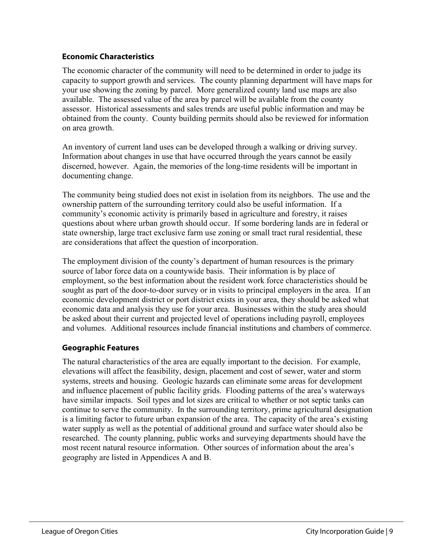#### **Economic Characteristics**

The economic character of the community will need to be determined in order to judge its capacity to support growth and services. The county planning department will have maps for your use showing the zoning by parcel. More generalized county land use maps are also available. The assessed value of the area by parcel will be available from the county assessor. Historical assessments and sales trends are useful public information and may be obtained from the county. County building permits should also be reviewed for information on area growth.

An inventory of current land uses can be developed through a walking or driving survey. Information about changes in use that have occurred through the years cannot be easily discerned, however. Again, the memories of the long-time residents will be important in documenting change.

The community being studied does not exist in isolation from its neighbors. The use and the ownership pattern of the surrounding territory could also be useful information. If a community's economic activity is primarily based in agriculture and forestry, it raises questions about where urban growth should occur. If some bordering lands are in federal or state ownership, large tract exclusive farm use zoning or small tract rural residential, these are considerations that affect the question of incorporation.

The employment division of the county's department of human resources is the primary source of labor force data on a countywide basis. Their information is by place of employment, so the best information about the resident work force characteristics should be sought as part of the door-to-door survey or in visits to principal employers in the area. If an economic development district or port district exists in your area, they should be asked what economic data and analysis they use for your area. Businesses within the study area should be asked about their current and projected level of operations including payroll, employees and volumes. Additional resources include financial institutions and chambers of commerce.

#### **Geographic Features**

The natural characteristics of the area are equally important to the decision. For example, elevations will affect the feasibility, design, placement and cost of sewer, water and storm systems, streets and housing. Geologic hazards can eliminate some areas for development and influence placement of public facility grids. Flooding patterns of the area's waterways have similar impacts. Soil types and lot sizes are critical to whether or not septic tanks can continue to serve the community. In the surrounding territory, prime agricultural designation is a limiting factor to future urban expansion of the area. The capacity of the area's existing water supply as well as the potential of additional ground and surface water should also be researched. The county planning, public works and surveying departments should have the most recent natural resource information. Other sources of information about the area's geography are listed in Appendices A and B.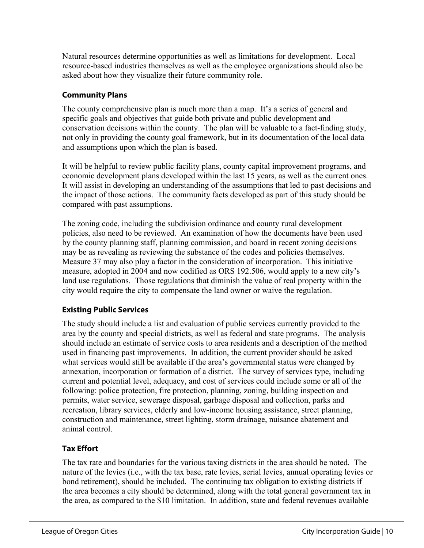Natural resources determine opportunities as well as limitations for development. Local resource-based industries themselves as well as the employee organizations should also be asked about how they visualize their future community role.

#### **Community Plans**

The county comprehensive plan is much more than a map. It's a series of general and specific goals and objectives that guide both private and public development and conservation decisions within the county. The plan will be valuable to a fact-finding study, not only in providing the county goal framework, but in its documentation of the local data and assumptions upon which the plan is based.

It will be helpful to review public facility plans, county capital improvement programs, and economic development plans developed within the last 15 years, as well as the current ones. It will assist in developing an understanding of the assumptions that led to past decisions and the impact of those actions. The community facts developed as part of this study should be compared with past assumptions.

The zoning code, including the subdivision ordinance and county rural development policies, also need to be reviewed. An examination of how the documents have been used by the county planning staff, planning commission, and board in recent zoning decisions may be as revealing as reviewing the substance of the codes and policies themselves. Measure 37 may also play a factor in the consideration of incorporation. This initiative measure, adopted in 2004 and now codified as ORS 192.506, would apply to a new city's land use regulations. Those regulations that diminish the value of real property within the city would require the city to compensate the land owner or waive the regulation.

#### **Existing Public Services**

The study should include a list and evaluation of public services currently provided to the area by the county and special districts, as well as federal and state programs. The analysis should include an estimate of service costs to area residents and a description of the method used in financing past improvements. In addition, the current provider should be asked what services would still be available if the area's governmental status were changed by annexation, incorporation or formation of a district. The survey of services type, including current and potential level, adequacy, and cost of services could include some or all of the following: police protection, fire protection, planning, zoning, building inspection and permits, water service, sewerage disposal, garbage disposal and collection, parks and recreation, library services, elderly and low-income housing assistance, street planning, construction and maintenance, street lighting, storm drainage, nuisance abatement and animal control.

#### **Tax Effort**

The tax rate and boundaries for the various taxing districts in the area should be noted. The nature of the levies (i.e., with the tax base, rate levies, serial levies, annual operating levies or bond retirement), should be included. The continuing tax obligation to existing districts if the area becomes a city should be determined, along with the total general government tax in the area, as compared to the \$10 limitation. In addition, state and federal revenues available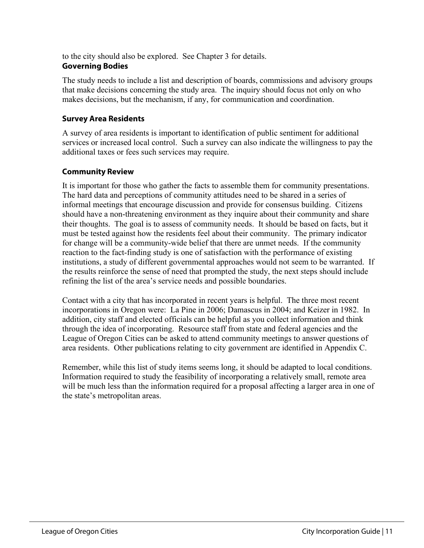to the city should also be explored. See Chapter 3 for details. **Governing Bodies**

The study needs to include a list and description of boards, commissions and advisory groups that make decisions concerning the study area. The inquiry should focus not only on who makes decisions, but the mechanism, if any, for communication and coordination.

#### **Survey Area Residents**

A survey of area residents is important to identification of public sentiment for additional services or increased local control. Such a survey can also indicate the willingness to pay the additional taxes or fees such services may require.

#### **Community Review**

It is important for those who gather the facts to assemble them for community presentations. The hard data and perceptions of community attitudes need to be shared in a series of informal meetings that encourage discussion and provide for consensus building. Citizens should have a non-threatening environment as they inquire about their community and share their thoughts. The goal is to assess of community needs. It should be based on facts, but it must be tested against how the residents feel about their community. The primary indicator for change will be a community-wide belief that there are unmet needs. If the community reaction to the fact-finding study is one of satisfaction with the performance of existing institutions, a study of different governmental approaches would not seem to be warranted. If the results reinforce the sense of need that prompted the study, the next steps should include refining the list of the area's service needs and possible boundaries.

Contact with a city that has incorporated in recent years is helpful. The three most recent incorporations in Oregon were: La Pine in 2006; Damascus in 2004; and Keizer in 1982. In addition, city staff and elected officials can be helpful as you collect information and think through the idea of incorporating. Resource staff from state and federal agencies and the League of Oregon Cities can be asked to attend community meetings to answer questions of area residents. Other publications relating to city government are identified in Appendix C.

Remember, while this list of study items seems long, it should be adapted to local conditions. Information required to study the feasibility of incorporating a relatively small, remote area will be much less than the information required for a proposal affecting a larger area in one of the state's metropolitan areas.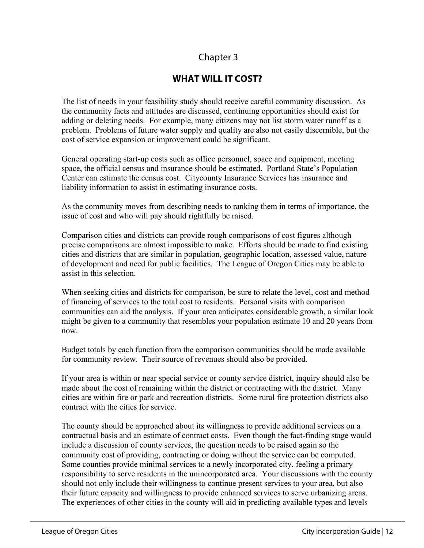## **WHAT WILL IT COST?**

The list of needs in your feasibility study should receive careful community discussion. As the community facts and attitudes are discussed, continuing opportunities should exist for adding or deleting needs. For example, many citizens may not list storm water runoff as a problem. Problems of future water supply and quality are also not easily discernible, but the cost of service expansion or improvement could be significant.

General operating start-up costs such as office personnel, space and equipment, meeting space, the official census and insurance should be estimated. Portland State's Population Center can estimate the census cost. Citycounty Insurance Services has insurance and liability information to assist in estimating insurance costs.

As the community moves from describing needs to ranking them in terms of importance, the issue of cost and who will pay should rightfully be raised.

Comparison cities and districts can provide rough comparisons of cost figures although precise comparisons are almost impossible to make. Efforts should be made to find existing cities and districts that are similar in population, geographic location, assessed value, nature of development and need for public facilities. The League of Oregon Cities may be able to assist in this selection.

When seeking cities and districts for comparison, be sure to relate the level, cost and method of financing of services to the total cost to residents. Personal visits with comparison communities can aid the analysis. If your area anticipates considerable growth, a similar look might be given to a community that resembles your population estimate 10 and 20 years from now.

Budget totals by each function from the comparison communities should be made available for community review. Their source of revenues should also be provided.

If your area is within or near special service or county service district, inquiry should also be made about the cost of remaining within the district or contracting with the district. Many cities are within fire or park and recreation districts. Some rural fire protection districts also contract with the cities for service.

The county should be approached about its willingness to provide additional services on a contractual basis and an estimate of contract costs. Even though the fact-finding stage would include a discussion of county services, the question needs to be raised again so the community cost of providing, contracting or doing without the service can be computed. Some counties provide minimal services to a newly incorporated city, feeling a primary responsibility to serve residents in the unincorporated area. Your discussions with the county should not only include their willingness to continue present services to your area, but also their future capacity and willingness to provide enhanced services to serve urbanizing areas. The experiences of other cities in the county will aid in predicting available types and levels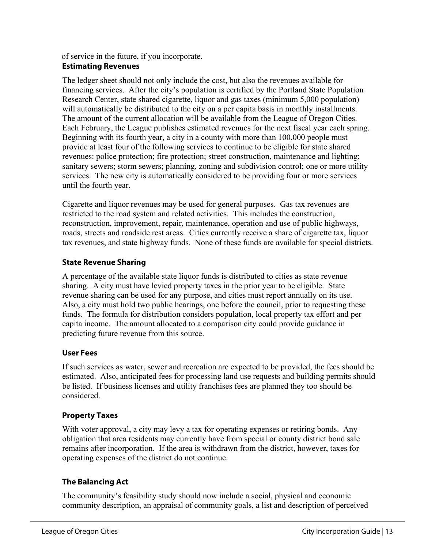#### of service in the future, if you incorporate.

#### **Estimating Revenues**

The ledger sheet should not only include the cost, but also the revenues available for financing services. After the city's population is certified by the Portland State Population Research Center, state shared cigarette, liquor and gas taxes (minimum 5,000 population) will automatically be distributed to the city on a per capita basis in monthly installments. The amount of the current allocation will be available from the League of Oregon Cities. Each February, the League publishes estimated revenues for the next fiscal year each spring. Beginning with its fourth year, a city in a county with more than 100,000 people must provide at least four of the following services to continue to be eligible for state shared revenues: police protection; fire protection; street construction, maintenance and lighting; sanitary sewers; storm sewers; planning, zoning and subdivision control; one or more utility services. The new city is automatically considered to be providing four or more services until the fourth year.

Cigarette and liquor revenues may be used for general purposes. Gas tax revenues are restricted to the road system and related activities. This includes the construction, reconstruction, improvement, repair, maintenance, operation and use of public highways, roads, streets and roadside rest areas. Cities currently receive a share of cigarette tax, liquor tax revenues, and state highway funds. None of these funds are available for special districts.

#### **State Revenue Sharing**

A percentage of the available state liquor funds is distributed to cities as state revenue sharing. A city must have levied property taxes in the prior year to be eligible. State revenue sharing can be used for any purpose, and cities must report annually on its use. Also, a city must hold two public hearings, one before the council, prior to requesting these funds. The formula for distribution considers population, local property tax effort and per capita income. The amount allocated to a comparison city could provide guidance in predicting future revenue from this source.

#### **User Fees**

If such services as water, sewer and recreation are expected to be provided, the fees should be estimated. Also, anticipated fees for processing land use requests and building permits should be listed. If business licenses and utility franchises fees are planned they too should be considered.

#### **Property Taxes**

With voter approval, a city may levy a tax for operating expenses or retiring bonds. Any obligation that area residents may currently have from special or county district bond sale remains after incorporation. If the area is withdrawn from the district, however, taxes for operating expenses of the district do not continue.

#### **The Balancing Act**

The community's feasibility study should now include a social, physical and economic community description, an appraisal of community goals, a list and description of perceived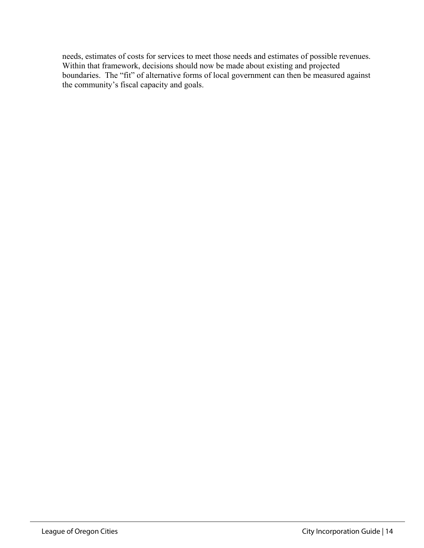needs, estimates of costs for services to meet those needs and estimates of possible revenues. Within that framework, decisions should now be made about existing and projected boundaries. The "fit" of alternative forms of local government can then be measured against the community's fiscal capacity and goals.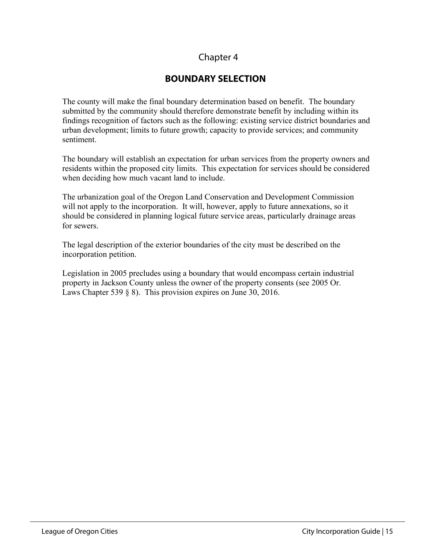## **BOUNDARY SELECTION**

The county will make the final boundary determination based on benefit. The boundary submitted by the community should therefore demonstrate benefit by including within its findings recognition of factors such as the following: existing service district boundaries and urban development; limits to future growth; capacity to provide services; and community sentiment.

The boundary will establish an expectation for urban services from the property owners and residents within the proposed city limits. This expectation for services should be considered when deciding how much vacant land to include.

The urbanization goal of the Oregon Land Conservation and Development Commission will not apply to the incorporation. It will, however, apply to future annexations, so it should be considered in planning logical future service areas, particularly drainage areas for sewers.

The legal description of the exterior boundaries of the city must be described on the incorporation petition.

Legislation in 2005 precludes using a boundary that would encompass certain industrial property in Jackson County unless the owner of the property consents (see 2005 Or. Laws Chapter 539 § 8). This provision expires on June 30, 2016.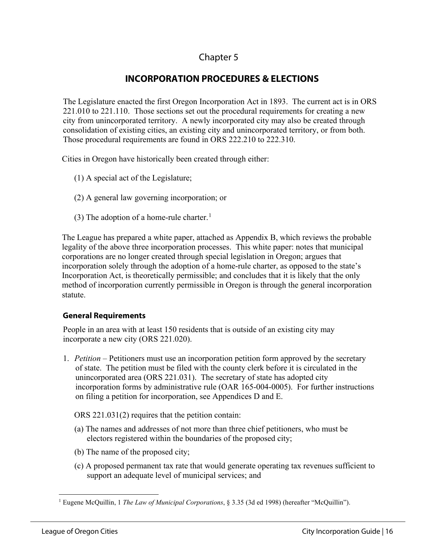## **INCORPORATION PROCEDURES & ELECTIONS**

The Legislature enacted the first Oregon Incorporation Act in 1893. The current act is in ORS 221.010 to 221.110. Those sections set out the procedural requirements for creating a new city from unincorporated territory. A newly incorporated city may also be created through consolidation of existing cities, an existing city and unincorporated territory, or from both. Those procedural requirements are found in ORS 222.210 to 222.310.

Cities in Oregon have historically been created through either:

- (1) A special act of the Legislature;
- (2) A general law governing incorporation; or
- (3) The adoption of a home-rule charter.<sup>[1](#page-16-0)</sup>

The League has prepared a white paper, attached as Appendix B, which reviews the probable legality of the above three incorporation processes. This white paper: notes that municipal corporations are no longer created through special legislation in Oregon; argues that incorporation solely through the adoption of a home-rule charter, as opposed to the state's Incorporation Act, is theoretically permissible; and concludes that it is likely that the only method of incorporation currently permissible in Oregon is through the general incorporation statute.

#### **General Requirements**

People in an area with at least 150 residents that is outside of an existing city may incorporate a new city (ORS 221.020).

1. *Petition –* Petitioners must use an incorporation petition form approved by the secretary of state. The petition must be filed with the county clerk before it is circulated in the unincorporated area (ORS 221.031). The secretary of state has adopted city incorporation forms by administrative rule (OAR 165-004-0005). For further instructions on filing a petition for incorporation, see Appendices D and E.

ORS 221.031(2) requires that the petition contain:

- (a) The names and addresses of not more than three chief petitioners, who must be electors registered within the boundaries of the proposed city;
- (b) The name of the proposed city;
- (c) A proposed permanent tax rate that would generate operating tax revenues sufficient to support an adequate level of municipal services; and

<span id="page-16-0"></span><sup>1</sup> Eugene McQuillin, 1 *The Law of Municipal Corporations*, § 3.35 (3d ed 1998) (hereafter "McQuillin").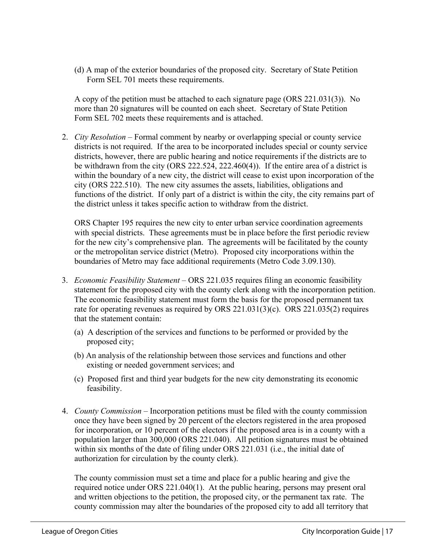(d) A map of the exterior boundaries of the proposed city. Secretary of State Petition Form SEL 701 meets these requirements.

A copy of the petition must be attached to each signature page (ORS 221.031(3)). No more than 20 signatures will be counted on each sheet. Secretary of State Petition Form SEL 702 meets these requirements and is attached.

2. *City Resolution –* Formal comment by nearby or overlapping special or county service districts is not required. If the area to be incorporated includes special or county service districts, however, there are public hearing and notice requirements if the districts are to be withdrawn from the city (ORS 222.524, 222.460(4)). If the entire area of a district is within the boundary of a new city, the district will cease to exist upon incorporation of the city (ORS 222.510). The new city assumes the assets, liabilities, obligations and functions of the district. If only part of a district is within the city, the city remains part of the district unless it takes specific action to withdraw from the district.

ORS Chapter 195 requires the new city to enter urban service coordination agreements with special districts. These agreements must be in place before the first periodic review for the new city's comprehensive plan. The agreements will be facilitated by the county or the metropolitan service district (Metro). Proposed city incorporations within the boundaries of Metro may face additional requirements (Metro Code 3.09.130).

- 3. *Economic Feasibility Statement –* ORS 221.035 requires filing an economic feasibility statement for the proposed city with the county clerk along with the incorporation petition. The economic feasibility statement must form the basis for the proposed permanent tax rate for operating revenues as required by ORS 221.031(3)(c). ORS 221.035(2) requires that the statement contain:
	- (a) A description of the services and functions to be performed or provided by the proposed city;
	- (b) An analysis of the relationship between those services and functions and other existing or needed government services; and
	- (c) Proposed first and third year budgets for the new city demonstrating its economic feasibility.
- 4. *County Commission –* Incorporation petitions must be filed with the county commission once they have been signed by 20 percent of the electors registered in the area proposed for incorporation, or 10 percent of the electors if the proposed area is in a county with a population larger than 300,000 (ORS 221.040). All petition signatures must be obtained within six months of the date of filing under ORS 221.031 (i.e., the initial date of authorization for circulation by the county clerk).

The county commission must set a time and place for a public hearing and give the required notice under ORS 221.040(1). At the public hearing, persons may present oral and written objections to the petition, the proposed city, or the permanent tax rate. The county commission may alter the boundaries of the proposed city to add all territory that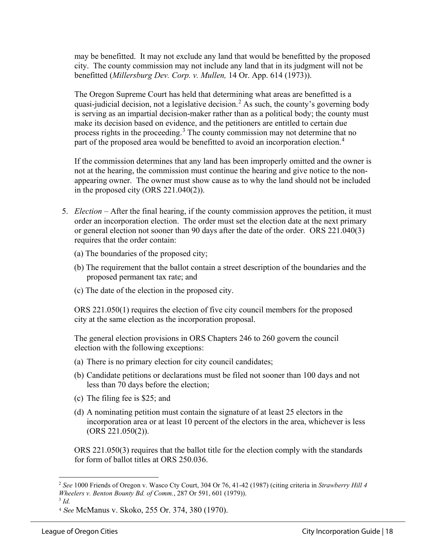may be benefitted. It may not exclude any land that would be benefitted by the proposed city. The county commission may not include any land that in its judgment will not be benefitted (*Millersburg Dev. Corp. v. Mullen,* 14 Or. App. 614 (1973)).

The Oregon Supreme Court has held that determining what areas are benefitted is a quasi-judicial decision, not a legislative decision.<sup>[2](#page-18-0)</sup> As such, the county's governing body is serving as an impartial decision-maker rather than as a political body; the county must make its decision based on evidence, and the petitioners are entitled to certain due process rights in the proceeding.<sup>[3](#page-18-1)</sup> The county commission may not determine that no part of the proposed area would be benefitted to avoid an incorporation election.<sup>[4](#page-18-2)</sup>

If the commission determines that any land has been improperly omitted and the owner is not at the hearing, the commission must continue the hearing and give notice to the nonappearing owner. The owner must show cause as to why the land should not be included in the proposed city (ORS 221.040(2)).

- 5. *Election –* After the final hearing, if the county commission approves the petition, it must order an incorporation election. The order must set the election date at the next primary or general election not sooner than 90 days after the date of the order. ORS 221.040(3) requires that the order contain:
	- (a) The boundaries of the proposed city;
	- (b) The requirement that the ballot contain a street description of the boundaries and the proposed permanent tax rate; and
	- (c) The date of the election in the proposed city.

ORS 221.050(1) requires the election of five city council members for the proposed city at the same election as the incorporation proposal.

The general election provisions in ORS Chapters 246 to 260 govern the council election with the following exceptions:

- (a) There is no primary election for city council candidates;
- (b) Candidate petitions or declarations must be filed not sooner than 100 days and not less than 70 days before the election;
- (c) The filing fee is \$25; and
- (d) A nominating petition must contain the signature of at least 25 electors in the incorporation area or at least 10 percent of the electors in the area, whichever is less (ORS 221.050(2)).

ORS 221.050(3) requires that the ballot title for the election comply with the standards for form of ballot titles at ORS 250.036.

<span id="page-18-0"></span><sup>2</sup> *See* 1000 Friends of Oregon v. Wasco Cty Court, 304 Or 76, 41-42 (1987) (citing criteria in *Strawberry Hill 4 Wheelers v. Benton Bounty Bd. of Comm.*, 287 Or 591, 601 (1979)). 3 *Id.*

<span id="page-18-1"></span>

<span id="page-18-2"></span><sup>4</sup> *See* McManus v. Skoko, 255 Or. 374, 380 (1970).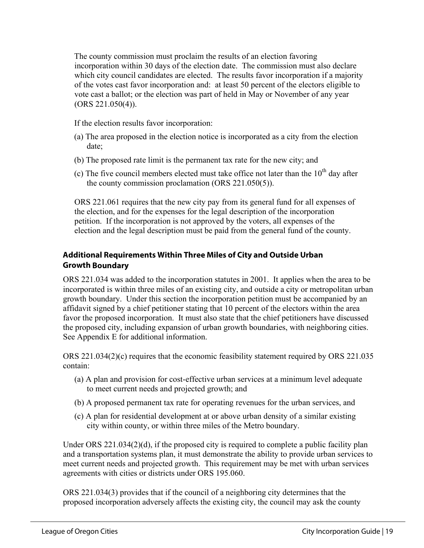The county commission must proclaim the results of an election favoring incorporation within 30 days of the election date. The commission must also declare which city council candidates are elected. The results favor incorporation if a majority of the votes cast favor incorporation and: at least 50 percent of the electors eligible to vote cast a ballot; or the election was part of held in May or November of any year (ORS 221.050(4)).

If the election results favor incorporation:

- (a) The area proposed in the election notice is incorporated as a city from the election date;
- (b) The proposed rate limit is the permanent tax rate for the new city; and
- (c) The five council members elected must take office not later than the  $10^{th}$  day after the county commission proclamation (ORS 221.050(5)).

ORS 221.061 requires that the new city pay from its general fund for all expenses of the election, and for the expenses for the legal description of the incorporation petition. If the incorporation is not approved by the voters, all expenses of the election and the legal description must be paid from the general fund of the county.

#### **Additional Requirements Within Three Miles of City and Outside Urban Growth Boundary**

ORS 221.034 was added to the incorporation statutes in 2001. It applies when the area to be incorporated is within three miles of an existing city, and outside a city or metropolitan urban growth boundary. Under this section the incorporation petition must be accompanied by an affidavit signed by a chief petitioner stating that 10 percent of the electors within the area favor the proposed incorporation. It must also state that the chief petitioners have discussed the proposed city, including expansion of urban growth boundaries, with neighboring cities. See Appendix E for additional information.

ORS 221.034(2)(c) requires that the economic feasibility statement required by ORS 221.035 contain:

- (a) A plan and provision for cost-effective urban services at a minimum level adequate to meet current needs and projected growth; and
- (b) A proposed permanent tax rate for operating revenues for the urban services, and
- (c) A plan for residential development at or above urban density of a similar existing city within county, or within three miles of the Metro boundary.

Under ORS 221.034(2)(d), if the proposed city is required to complete a public facility plan and a transportation systems plan, it must demonstrate the ability to provide urban services to meet current needs and projected growth. This requirement may be met with urban services agreements with cities or districts under ORS 195.060.

ORS 221.034(3) provides that if the council of a neighboring city determines that the proposed incorporation adversely affects the existing city, the council may ask the county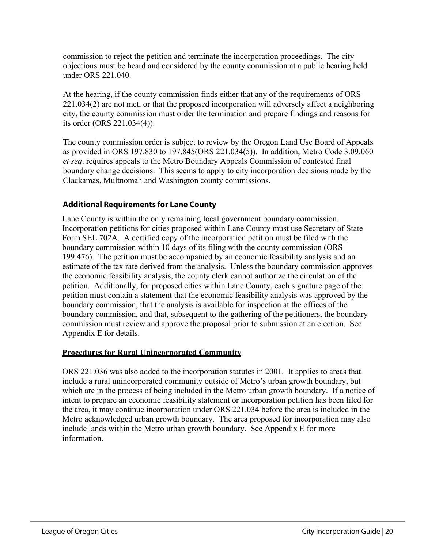commission to reject the petition and terminate the incorporation proceedings. The city objections must be heard and considered by the county commission at a public hearing held under ORS 221.040.

At the hearing, if the county commission finds either that any of the requirements of ORS 221.034(2) are not met, or that the proposed incorporation will adversely affect a neighboring city, the county commission must order the termination and prepare findings and reasons for its order (ORS 221.034(4)).

The county commission order is subject to review by the Oregon Land Use Board of Appeals as provided in ORS 197.830 to 197.845(ORS 221.034(5)). In addition, Metro Code 3.09.060 *et seq*. requires appeals to the Metro Boundary Appeals Commission of contested final boundary change decisions. This seems to apply to city incorporation decisions made by the Clackamas, Multnomah and Washington county commissions.

#### **Additional Requirements for Lane County**

Lane County is within the only remaining local government boundary commission. Incorporation petitions for cities proposed within Lane County must use Secretary of State Form SEL 702A. A certified copy of the incorporation petition must be filed with the boundary commission within 10 days of its filing with the county commission (ORS 199.476). The petition must be accompanied by an economic feasibility analysis and an estimate of the tax rate derived from the analysis. Unless the boundary commission approves the economic feasibility analysis, the county clerk cannot authorize the circulation of the petition. Additionally, for proposed cities within Lane County, each signature page of the petition must contain a statement that the economic feasibility analysis was approved by the boundary commission, that the analysis is available for inspection at the offices of the boundary commission, and that, subsequent to the gathering of the petitioners, the boundary commission must review and approve the proposal prior to submission at an election. See Appendix E for details.

#### **Procedures for Rural Unincorporated Community**

ORS 221.036 was also added to the incorporation statutes in 2001. It applies to areas that include a rural unincorporated community outside of Metro's urban growth boundary, but which are in the process of being included in the Metro urban growth boundary. If a notice of intent to prepare an economic feasibility statement or incorporation petition has been filed for the area, it may continue incorporation under ORS 221.034 before the area is included in the Metro acknowledged urban growth boundary. The area proposed for incorporation may also include lands within the Metro urban growth boundary. See Appendix E for more information.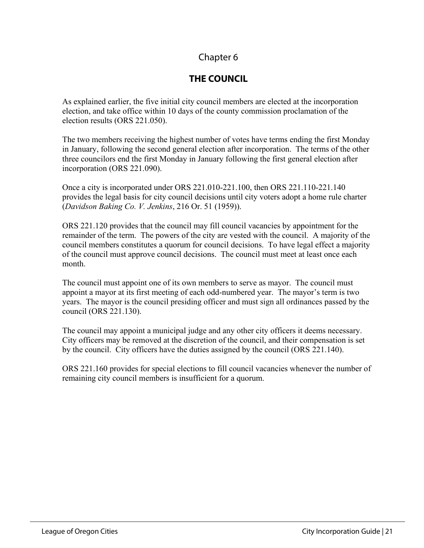## **THE COUNCIL**

As explained earlier, the five initial city council members are elected at the incorporation election, and take office within 10 days of the county commission proclamation of the election results (ORS 221.050).

The two members receiving the highest number of votes have terms ending the first Monday in January, following the second general election after incorporation. The terms of the other three councilors end the first Monday in January following the first general election after incorporation (ORS 221.090).

Once a city is incorporated under ORS 221.010-221.100, then ORS 221.110-221.140 provides the legal basis for city council decisions until city voters adopt a home rule charter (*Davidson Baking Co. V. Jenkins*, 216 Or. 51 (1959)).

ORS 221.120 provides that the council may fill council vacancies by appointment for the remainder of the term. The powers of the city are vested with the council. A majority of the council members constitutes a quorum for council decisions. To have legal effect a majority of the council must approve council decisions. The council must meet at least once each month.

The council must appoint one of its own members to serve as mayor. The council must appoint a mayor at its first meeting of each odd-numbered year. The mayor's term is two years. The mayor is the council presiding officer and must sign all ordinances passed by the council (ORS 221.130).

The council may appoint a municipal judge and any other city officers it deems necessary. City officers may be removed at the discretion of the council, and their compensation is set by the council. City officers have the duties assigned by the council (ORS 221.140).

ORS 221.160 provides for special elections to fill council vacancies whenever the number of remaining city council members is insufficient for a quorum.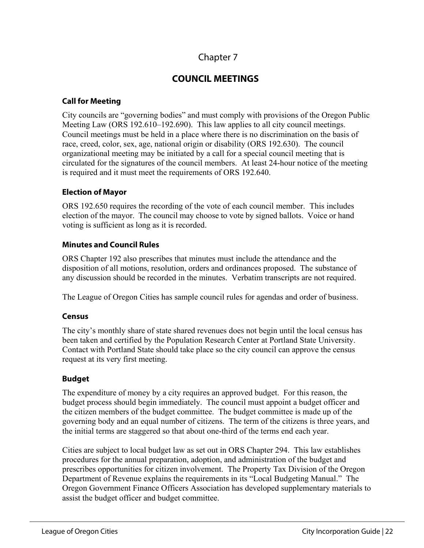## **COUNCIL MEETINGS**

#### **Call for Meeting**

City councils are "governing bodies" and must comply with provisions of the Oregon Public Meeting Law (ORS 192.610–192.690). This law applies to all city council meetings. Council meetings must be held in a place where there is no discrimination on the basis of race, creed, color, sex, age, national origin or disability (ORS 192.630). The council organizational meeting may be initiated by a call for a special council meeting that is circulated for the signatures of the council members. At least 24-hour notice of the meeting is required and it must meet the requirements of ORS 192.640.

#### **Election of Mayor**

ORS 192.650 requires the recording of the vote of each council member. This includes election of the mayor. The council may choose to vote by signed ballots. Voice or hand voting is sufficient as long as it is recorded.

#### **Minutes and Council Rules**

ORS Chapter 192 also prescribes that minutes must include the attendance and the disposition of all motions, resolution, orders and ordinances proposed. The substance of any discussion should be recorded in the minutes. Verbatim transcripts are not required.

The League of Oregon Cities has sample council rules for agendas and order of business.

#### **Census**

The city's monthly share of state shared revenues does not begin until the local census has been taken and certified by the Population Research Center at Portland State University. Contact with Portland State should take place so the city council can approve the census request at its very first meeting.

#### **Budget**

The expenditure of money by a city requires an approved budget. For this reason, the budget process should begin immediately. The council must appoint a budget officer and the citizen members of the budget committee. The budget committee is made up of the governing body and an equal number of citizens. The term of the citizens is three years, and the initial terms are staggered so that about one-third of the terms end each year.

Cities are subject to local budget law as set out in ORS Chapter 294. This law establishes procedures for the annual preparation, adoption, and administration of the budget and prescribes opportunities for citizen involvement. The Property Tax Division of the Oregon Department of Revenue explains the requirements in its "Local Budgeting Manual." The Oregon Government Finance Officers Association has developed supplementary materials to assist the budget officer and budget committee.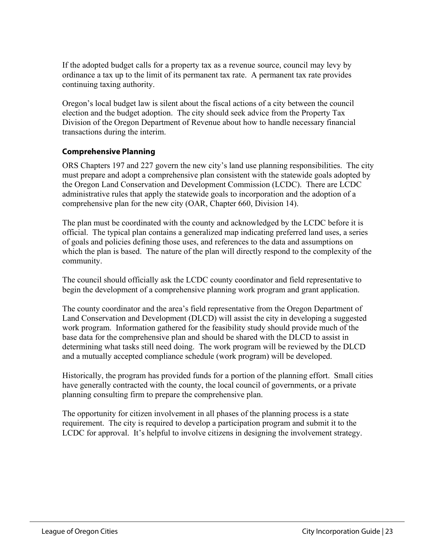If the adopted budget calls for a property tax as a revenue source, council may levy by ordinance a tax up to the limit of its permanent tax rate. A permanent tax rate provides continuing taxing authority.

Oregon's local budget law is silent about the fiscal actions of a city between the council election and the budget adoption. The city should seek advice from the Property Tax Division of the Oregon Department of Revenue about how to handle necessary financial transactions during the interim.

#### **Comprehensive Planning**

ORS Chapters 197 and 227 govern the new city's land use planning responsibilities. The city must prepare and adopt a comprehensive plan consistent with the statewide goals adopted by the Oregon Land Conservation and Development Commission (LCDC). There are LCDC administrative rules that apply the statewide goals to incorporation and the adoption of a comprehensive plan for the new city (OAR, Chapter 660, Division 14).

The plan must be coordinated with the county and acknowledged by the LCDC before it is official. The typical plan contains a generalized map indicating preferred land uses, a series of goals and policies defining those uses, and references to the data and assumptions on which the plan is based. The nature of the plan will directly respond to the complexity of the community.

The council should officially ask the LCDC county coordinator and field representative to begin the development of a comprehensive planning work program and grant application.

The county coordinator and the area's field representative from the Oregon Department of Land Conservation and Development (DLCD) will assist the city in developing a suggested work program. Information gathered for the feasibility study should provide much of the base data for the comprehensive plan and should be shared with the DLCD to assist in determining what tasks still need doing. The work program will be reviewed by the DLCD and a mutually accepted compliance schedule (work program) will be developed.

Historically, the program has provided funds for a portion of the planning effort. Small cities have generally contracted with the county, the local council of governments, or a private planning consulting firm to prepare the comprehensive plan.

The opportunity for citizen involvement in all phases of the planning process is a state requirement. The city is required to develop a participation program and submit it to the LCDC for approval. It's helpful to involve citizens in designing the involvement strategy.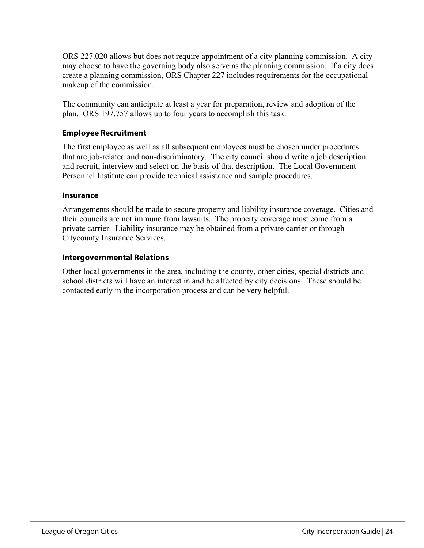ORS 227.020 allows but does not require appointment of a city planning commission. A city may choose to have the governing body also serve as the planning commission. If a city does create a planning commission, ORS Chapter 227 includes requirements for the occupational makeup of the commission.

The community can anticipate at least a year for preparation, review and adoption of the plan. ORS 197.757 allows up to four years to accomplish this task.

#### **Employee Recruitment**

The first employee as well as all subsequent employees must be chosen under procedures that are job-related and non-discriminatory. The city council should write a job description and recruit, interview and select on the basis of that description. The Local Government Personnel Institute can provide technical assistance and sample procedures.

#### **Insurance**

Arrangements should be made to secure property and liability insurance coverage. Cities and their councils are not immune from lawsuits. The property coverage must come from a private carrier. Liability insurance may be obtained from a private carrier or through Citycounty Insurance Services.

#### **Intergovernmental Relations**

Other local governments in the area, including the county, other cities, special districts and school districts will have an interest in and be affected by city decisions. These should be contacted early in the incorporation process and can be very helpful.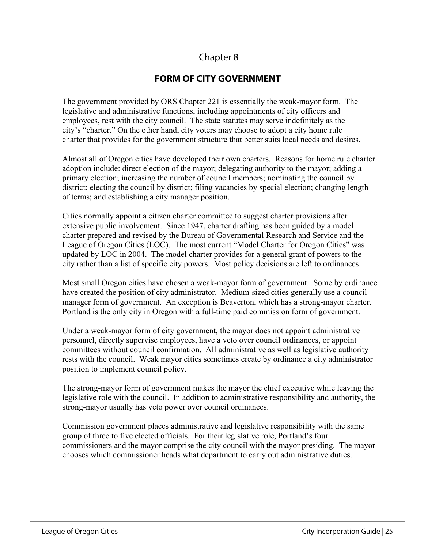## **FORM OF CITY GOVERNMENT**

The government provided by ORS Chapter 221 is essentially the weak-mayor form. The legislative and administrative functions, including appointments of city officers and employees, rest with the city council. The state statutes may serve indefinitely as the city's "charter." On the other hand, city voters may choose to adopt a city home rule charter that provides for the government structure that better suits local needs and desires.

Almost all of Oregon cities have developed their own charters. Reasons for home rule charter adoption include: direct election of the mayor; delegating authority to the mayor; adding a primary election; increasing the number of council members; nominating the council by district; electing the council by district; filing vacancies by special election; changing length of terms; and establishing a city manager position.

Cities normally appoint a citizen charter committee to suggest charter provisions after extensive public involvement. Since 1947, charter drafting has been guided by a model charter prepared and revised by the Bureau of Governmental Research and Service and the League of Oregon Cities (LOC). The most current "Model Charter for Oregon Cities" was updated by LOC in 2004. The model charter provides for a general grant of powers to the city rather than a list of specific city powers. Most policy decisions are left to ordinances.

Most small Oregon cities have chosen a weak-mayor form of government. Some by ordinance have created the position of city administrator. Medium-sized cities generally use a councilmanager form of government. An exception is Beaverton, which has a strong-mayor charter. Portland is the only city in Oregon with a full-time paid commission form of government.

Under a weak-mayor form of city government, the mayor does not appoint administrative personnel, directly supervise employees, have a veto over council ordinances, or appoint committees without council confirmation. All administrative as well as legislative authority rests with the council. Weak mayor cities sometimes create by ordinance a city administrator position to implement council policy.

The strong-mayor form of government makes the mayor the chief executive while leaving the legislative role with the council. In addition to administrative responsibility and authority, the strong-mayor usually has veto power over council ordinances.

Commission government places administrative and legislative responsibility with the same group of three to five elected officials. For their legislative role, Portland's four commissioners and the mayor comprise the city council with the mayor presiding. The mayor chooses which commissioner heads what department to carry out administrative duties.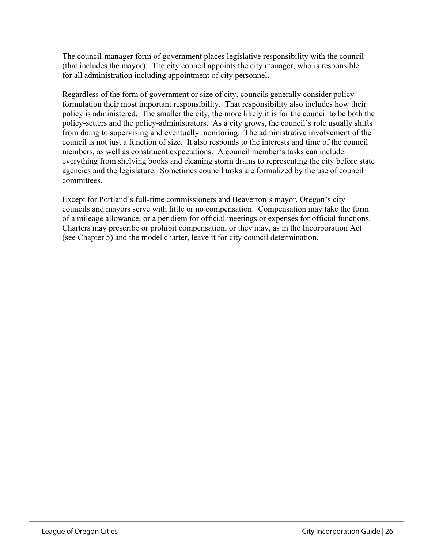The council-manager form of government places legislative responsibility with the council (that includes the mayor). The city council appoints the city manager, who is responsible for all administration including appointment of city personnel.

Regardless of the form of government or size of city, councils generally consider policy formulation their most important responsibility. That responsibility also includes how their policy is administered. The smaller the city, the more likely it is for the council to be both the policy-setters and the policy-administrators. As a city grows, the council's role usually shifts from doing to supervising and eventually monitoring. The administrative involvement of the council is not just a function of size. It also responds to the interests and time of the council members, as well as constituent expectations. A council member's tasks can include everything from shelving books and cleaning storm drains to representing the city before state agencies and the legislature. Sometimes council tasks are formalized by the use of council committees.

Except for Portland's full-time commissioners and Beaverton's mayor, Oregon's city councils and mayors serve with little or no compensation. Compensation may take the form of a mileage allowance, or a per diem for official meetings or expenses for official functions. Charters may prescribe or prohibit compensation, or they may, as in the Incorporation Act (see Chapter 5) and the model charter, leave it for city council determination.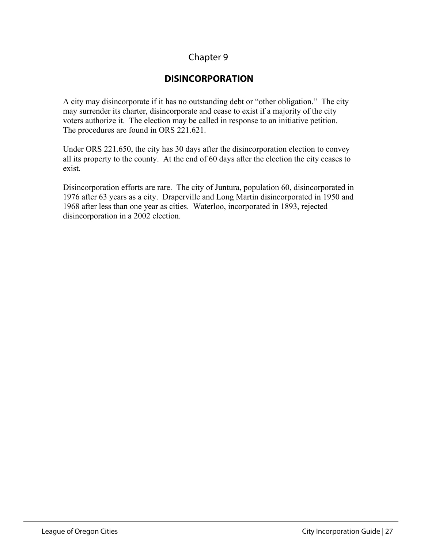## **DISINCORPORATION**

A city may disincorporate if it has no outstanding debt or "other obligation." The city may surrender its charter, disincorporate and cease to exist if a majority of the city voters authorize it. The election may be called in response to an initiative petition. The procedures are found in ORS 221.621.

Under ORS 221.650, the city has 30 days after the disincorporation election to convey all its property to the county. At the end of 60 days after the election the city ceases to exist.

Disincorporation efforts are rare. The city of Juntura, population 60, disincorporated in 1976 after 63 years as a city. Draperville and Long Martin disincorporated in 1950 and 1968 after less than one year as cities. Waterloo, incorporated in 1893, rejected disincorporation in a 2002 election.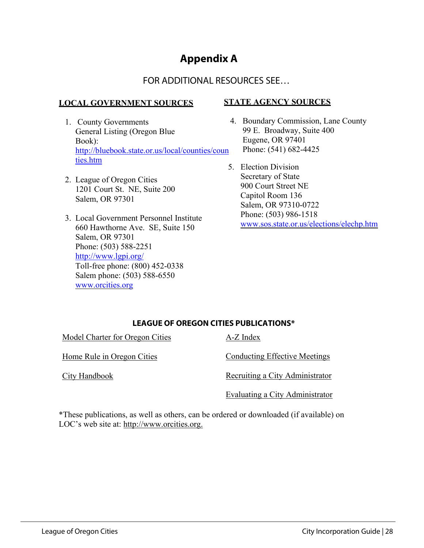## **Appendix A**

## FOR ADDITIONAL RESOURCES SEE…

#### **LOCAL GOVERNMENT SOURCES**

- 1. County Governments General Listing (Oregon Blue Book): [http://bluebook.state.or.us/local/counties/coun](http://bluebook.state.or.us/local/counties/counties.htm) [ties.htm](http://bluebook.state.or.us/local/counties/counties.htm)
- 2. League of Oregon Cities 1201 Court St. NE, Suite 200 Salem, OR 97301
- 3. Local Government Personnel Institute 660 Hawthorne Ave. SE, Suite 150 Salem, OR 97301 Phone: (503) 588-2251 <http://www.lgpi.org/> Toll-free phone: (800) 452-0338 Salem phone: (503) 588-6550 [www.orcities.org](http://www.orcities.org/)

#### **STATE AGENCY SOURCES**

- 4. Boundary Commission, Lane County 99 E. Broadway, Suite 400 Eugene, OR 97401 Phone: (541) 682-4425
- 5. Election Division Secretary of State 900 Court Street NE Capitol Room 136 Salem, OR 97310-0722 Phone: (503) 986-1518 [www.sos.state.or.us/elections/elechp.htm](http://www.sos.state.or.us/elections/elechp.htm)

#### **LEAGUE OF OREGON CITIES PUBLICATIONS\***

Model Charter for Oregon Cities

Home Rule in Oregon Cities

City Handbook

A-Z Index

Conducting Effective Meetings

Recruiting a City Administrator

Evaluating a City Administrator

\*These publications, as well as others, can be ordered or downloaded (if available) on LOC's web site at: http://www.orcities.org.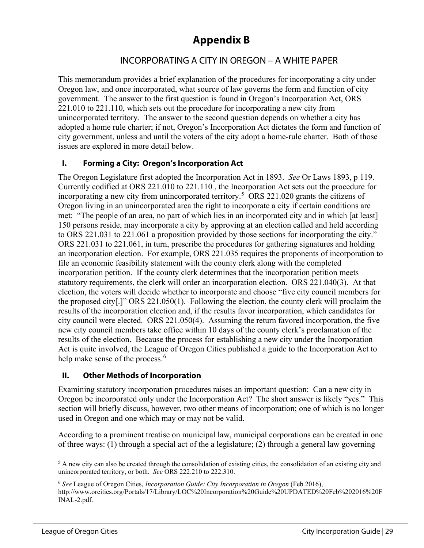# **Appendix B**

#### INCORPORATING A CITY IN OREGON – A WHITE PAPER

This memorandum provides a brief explanation of the procedures for incorporating a city under Oregon law, and once incorporated, what source of law governs the form and function of city government. The answer to the first question is found in Oregon's Incorporation Act, ORS 221.010 to 221.110, which sets out the procedure for incorporating a new city from unincorporated territory. The answer to the second question depends on whether a city has adopted a home rule charter; if not, Oregon's Incorporation Act dictates the form and function of city government, unless and until the voters of the city adopt a home-rule charter. Both of those issues are explored in more detail below.

#### **I. Forming a City: Oregon's Incorporation Act**

The Oregon Legislature first adopted the Incorporation Act in 1893. *See* Or Laws 1893, p 119. Currently codified at ORS 221.010 to 221.110 , the Incorporation Act sets out the procedure for incorporating a new city from unincorporated territory.[5](#page-29-0) ORS 221.020 grants the citizens of Oregon living in an unincorporated area the right to incorporate a city if certain conditions are met: "The people of an area, no part of which lies in an incorporated city and in which [at least] 150 persons reside, may incorporate a city by approving at an election called and held according to ORS 221.031 to 221.061 a proposition provided by those sections for incorporating the city." ORS 221.031 to 221.061, in turn, prescribe the procedures for gathering signatures and holding an incorporation election. For example, ORS 221.035 requires the proponents of incorporation to file an economic feasibility statement with the county clerk along with the completed incorporation petition. If the county clerk determines that the incorporation petition meets statutory requirements, the clerk will order an incorporation election. ORS 221.040(3). At that election, the voters will decide whether to incorporate and choose "five city council members for the proposed city[.]" ORS 221.050(1). Following the election, the county clerk will proclaim the results of the incorporation election and, if the results favor incorporation, which candidates for city council were elected. ORS 221.050(4). Assuming the return favored incorporation, the five new city council members take office within 10 days of the county clerk's proclamation of the results of the election. Because the process for establishing a new city under the Incorporation Act is quite involved, the League of Oregon Cities published a guide to the Incorporation Act to help make sense of the process.<sup>[6](#page-29-1)</sup>

#### **II. Other Methods of Incorporation**

Examining statutory incorporation procedures raises an important question: Can a new city in Oregon be incorporated only under the Incorporation Act? The short answer is likely "yes." This section will briefly discuss, however, two other means of incorporation; one of which is no longer used in Oregon and one which may or may not be valid.

According to a prominent treatise on municipal law, municipal corporations can be created in one of three ways: (1) through a special act of the a legislature; (2) through a general law governing

<span id="page-29-0"></span><sup>&</sup>lt;sup>5</sup> A new city can also be created through the consolidation of existing cities, the consolidation of an existing city and unincorporated territory, or both. *See* ORS 222.210 to 222.310.

<span id="page-29-1"></span><sup>6</sup> *See* League of Oregon Cities, *Incorporation Guide: City Incorporation in Oregon* (Feb 2016), http://www.orcities.org/Portals/17/Library/LOC%20Incorporation%20Guide%20UPDATED%20Feb%202016%20F INAL-2.pdf.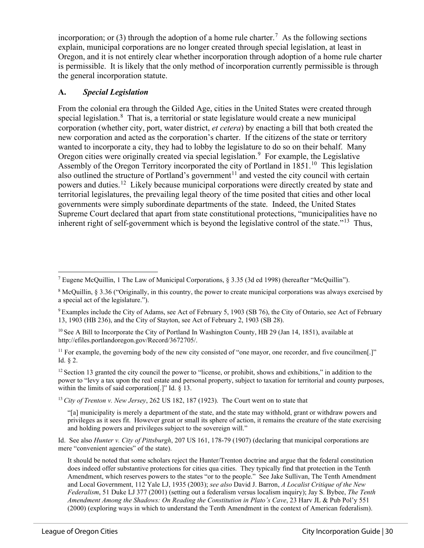incorporation; or (3) through the adoption of a home rule charter.<sup>[7](#page-30-0)</sup> As the following sections explain, municipal corporations are no longer created through special legislation, at least in Oregon, and it is not entirely clear whether incorporation through adoption of a home rule charter is permissible. It is likely that the only method of incorporation currently permissible is through the general incorporation statute.

#### **A.** *Special Legislation*

From the colonial era through the Gilded Age, cities in the United States were created through special legislation.<sup>[8](#page-30-1)</sup> That is, a territorial or state legislature would create a new municipal corporation (whether city, port, water district, *et cetera*) by enacting a bill that both created the new corporation and acted as the corporation's charter. If the citizens of the state or territory wanted to incorporate a city, they had to lobby the legislature to do so on their behalf. Many Oregon cities were originally created via special legislation.<sup>[9](#page-30-2)</sup> For example, the Legislative Assembly of the Oregon Territory incorporated the city of Portland in  $1851<sup>10</sup>$  This legislation also outlined the structure of Portland's government<sup>[11](#page-30-4)</sup> and vested the city council with certain powers and duties.[12](#page-30-5) Likely because municipal corporations were directly created by state and territorial legislatures, the prevailing legal theory of the time posited that cities and other local governments were simply subordinate departments of the state. Indeed, the United States Supreme Court declared that apart from state constitutional protections, "municipalities have no inherent right of self-government which is beyond the legislative control of the state."<sup>13</sup> Thus,

<span id="page-30-0"></span><sup>&</sup>lt;sup>7</sup> Eugene McQuillin, 1 The Law of Municipal Corporations,  $\S 3.35$  (3d ed 1998) (hereafter "McQuillin").

<span id="page-30-1"></span><sup>8</sup> McQuillin, § 3.36 ("Originally, in this country, the power to create municipal corporations was always exercised by a special act of the legislature.").

<span id="page-30-2"></span><sup>9</sup> Examples include the City of Adams, see Act of February 5, 1903 (SB 76), the City of Ontario, see Act of February 13, 1903 (HB 236), and the City of Stayton, see Act of February 2, 1903 (SB 28).

<span id="page-30-3"></span><sup>&</sup>lt;sup>10</sup> See A Bill to Incorporate the City of Portland In Washington County, HB 29 (Jan 14, 1851), available at [http://efiles.portlandoregon.gov/Record/3672705/.](http://efiles.portlandoregon.gov/Record/3672705/)

<span id="page-30-4"></span><sup>&</sup>lt;sup>11</sup> For example, the governing body of the new city consisted of "one mayor, one recorder, and five councilmen[.]" Id. § 2.

<span id="page-30-5"></span> $12$  Section 13 granted the city council the power to "license, or prohibit, shows and exhibitions," in addition to the power to "levy a tax upon the real estate and personal property, subject to taxation for territorial and county purposes, within the limits of said corporation<sup>[1]</sup> Id. § 13.

<span id="page-30-6"></span><sup>13</sup> *City of Trenton v. New Jersey*, 262 US 182, 187 (1923). The Court went on to state that

<sup>&</sup>quot;[a] municipality is merely a department of the state, and the state may withhold, grant or withdraw powers and privileges as it sees fit. However great or small its sphere of action, it remains the creature of the state exercising and holding powers and privileges subject to the sovereign will."

Id. See also *Hunter v. City of Pittsburgh*, 207 US 161, 178-79 (1907) (declaring that municipal corporations are mere "convenient agencies" of the state).

It should be noted that some scholars reject the Hunter/Trenton doctrine and argue that the federal constitution does indeed offer substantive protections for cities qua cities. They typically find that protection in the Tenth Amendment, which reserves powers to the states "or to the people." See Jake Sullivan, The Tenth Amendment and Local Government, 112 Yale LJ, 1935 (2003); *see also* David J. Barron, *A Localist Critique of the New Federalism*, 51 Duke LJ 377 (2001) (setting out a federalism versus localism inquiry); Jay S. Bybee, *The Tenth Amendment Among the Shadows: On Reading the Constitution in Plato's Cave*, 23 Harv JL & Pub Pol'y 551 (2000) (exploring ways in which to understand the Tenth Amendment in the context of American federalism).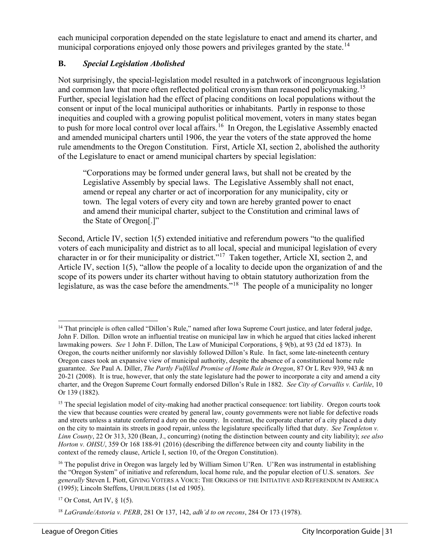each municipal corporation depended on the state legislature to enact and amend its charter, and municipal corporations enjoyed only those powers and privileges granted by the state.<sup>[14](#page-31-0)</sup>

#### **B.** *Special Legislation Abolished*

Not surprisingly, the special-legislation model resulted in a patchwork of incongruous legislation and common law that more often reflected political cronvism than reasoned policymaking.<sup>[15](#page-31-1)</sup> Further, special legislation had the effect of placing conditions on local populations without the consent or input of the local municipal authorities or inhabitants. Partly in response to those inequities and coupled with a growing populist political movement, voters in many states began to push for more local control over local affairs.<sup>[16](#page-31-2)</sup> In Oregon, the Legislative Assembly enacted and amended municipal charters until 1906, the year the voters of the state approved the home rule amendments to the Oregon Constitution. First, Article XI, section 2, abolished the authority of the Legislature to enact or amend municipal charters by special legislation:

"Corporations may be formed under general laws, but shall not be created by the Legislative Assembly by special laws. The Legislative Assembly shall not enact, amend or repeal any charter or act of incorporation for any municipality, city or town. The legal voters of every city and town are hereby granted power to enact and amend their municipal charter, subject to the Constitution and criminal laws of the State of Oregon[.]"

Second, Article IV, section 1(5) extended initiative and referendum powers "to the qualified voters of each municipality and district as to all local, special and municipal legislation of every character in or for their municipality or district."[17](#page-31-3) Taken together, Article XI, section 2, and Article IV, section 1(5), "allow the people of a locality to decide upon the organization of and the scope of its powers under its charter without having to obtain statutory authorization from the legislature, as was the case before the amendments."<sup>18</sup> The people of a municipality no longer

<span id="page-31-0"></span><sup>&</sup>lt;sup>14</sup> That principle is often called "Dillon's Rule," named after Iowa Supreme Court justice, and later federal judge, John F. Dillon. Dillon wrote an influential treatise on municipal law in which he argued that cities lacked inherent lawmaking powers. *See* 1 John F. Dillon, The Law of Municipal Corporations, § 9(b), at 93 (2d ed 1873). In Oregon, the courts neither uniformly nor slavishly followed Dillon's Rule. In fact, some late-nineteenth century Oregon cases took an expansive view of municipal authority, despite the absence of a constitutional home rule guarantee. *See* Paul A. Diller, *The Partly Fulfilled Promise of Home Rule in Oregon*, 87 Or L Rev 939, 943 & nn 20-21 (2008). It is true, however, that only the state legislature had the power to incorporate a city and amend a city charter, and the Oregon Supreme Court formally endorsed Dillon's Rule in 1882. *See City of Corvallis v. Carlile*, 10 Or 139 (1882).

<span id="page-31-1"></span><sup>&</sup>lt;sup>15</sup> The special legislation model of city-making had another practical consequence: tort liability. Oregon courts took the view that because counties were created by general law, county governments were not liable for defective roads and streets unless a statute conferred a duty on the county. In contrast, the corporate charter of a city placed a duty on the city to maintain its streets in good repair, unless the legislature specifically lifted that duty. *See Templeton v. Linn County*, 22 Or 313, 320 (Bean, J., concurring) (noting the distinction between county and city liability); *see also Horton v. OHSU*, 359 Or 168 188-91 (2016) (describing the difference between city and county liability in the context of the remedy clause, Article I, section 10, of the Oregon Constitution).

<span id="page-31-2"></span><sup>&</sup>lt;sup>16</sup> The populist drive in Oregon was largely led by William Simon U'Ren. U'Ren was instrumental in establishing the "Oregon System" of initiative and referendum, local home rule, and the popular election of U.S. senators. *See generally* Steven L Piott, GIVING VOTERS A VOICE: THE ORIGINS OF THE INITIATIVE AND REFERENDUM IN AMERICA (1995); Lincoln Steffens, UPBUILDERS (1st ed 1905).

<span id="page-31-3"></span><sup>&</sup>lt;sup>17</sup> Or Const, Art IV,  $\frac{1}{5}$  1(5).

<span id="page-31-4"></span><sup>18</sup> *LaGrande/Astoria v. PERB*, 281 Or 137, 142, *adh'd to on recons*, 284 Or 173 (1978).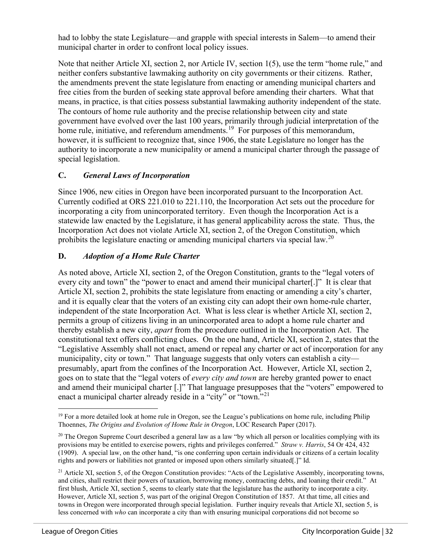had to lobby the state Legislature—and grapple with special interests in Salem—to amend their municipal charter in order to confront local policy issues.

Note that neither Article XI, section 2, nor Article IV, section 1(5), use the term "home rule," and neither confers substantive lawmaking authority on city governments or their citizens. Rather, the amendments prevent the state legislature from enacting or amending municipal charters and free cities from the burden of seeking state approval before amending their charters. What that means, in practice, is that cities possess substantial lawmaking authority independent of the state. The contours of home rule authority and the precise relationship between city and state government have evolved over the last 100 years, primarily through judicial interpretation of the home rule, initiative, and referendum amendments.<sup>19</sup> For purposes of this memorandum, however, it is sufficient to recognize that, since 1906, the state Legislature no longer has the authority to incorporate a new municipality or amend a municipal charter through the passage of special legislation.

#### **C.** *General Laws of Incorporation*

Since 1906, new cities in Oregon have been incorporated pursuant to the Incorporation Act. Currently codified at ORS 221.010 to 221.110, the Incorporation Act sets out the procedure for incorporating a city from unincorporated territory. Even though the Incorporation Act is a statewide law enacted by the Legislature, it has general applicability across the state. Thus, the Incorporation Act does not violate Article XI, section 2, of the Oregon Constitution, which prohibits the legislature enacting or amending municipal charters via special law.<sup>[20](#page-32-1)</sup>

#### **D.** *Adoption of a Home Rule Charter*

As noted above, Article XI, section 2, of the Oregon Constitution, grants to the "legal voters of every city and town" the "power to enact and amend their municipal charter[.]" It is clear that Article XI, section 2, prohibits the state legislature from enacting or amending a city's charter, and it is equally clear that the voters of an existing city can adopt their own home-rule charter, independent of the state Incorporation Act. What is less clear is whether Article XI, section 2, permits a group of citizens living in an unincorporated area to adopt a home rule charter and thereby establish a new city, *apart* from the procedure outlined in the Incorporation Act. The constitutional text offers conflicting clues. On the one hand, Article XI, section 2, states that the "Legislative Assembly shall not enact, amend or repeal any charter or act of incorporation for any municipality, city or town." That language suggests that only voters can establish a city presumably, apart from the confines of the Incorporation Act. However, Article XI, section 2, goes on to state that the "legal voters of *every city and town* are hereby granted power to enact and amend their municipal charter [.]" That language presupposes that the "voters" empowered to enact a municipal charter already reside in a "city" or "town."<sup>21</sup>

<span id="page-32-0"></span><sup>&</sup>lt;sup>19</sup> For a more detailed look at home rule in Oregon, see the League's publications on home rule, including Philip Thoennes, *The Origins and Evolution of Home Rule in Oregon*, LOC Research Paper (2017).

<span id="page-32-1"></span> $20$  The Oregon Supreme Court described a general law as a law "by which all person or localities complying with its provisions may be entitled to exercise powers, rights and privileges conferred." *Straw v. Harris*, 54 Or 424, 432 (1909). A special law, on the other hand, "is one conferring upon certain individuals or citizens of a certain locality rights and powers or liabilities not granted or imposed upon others similarly situated[.]" Id.

<span id="page-32-2"></span> $^{21}$  Article XI, section 5, of the Oregon Constitution provides: "Acts of the Legislative Assembly, incorporating towns, and cities, shall restrict their powers of taxation, borrowing money, contracting debts, and loaning their credit." At first blush, Article XI, section 5, seems to clearly state that the legislature has the authority to incorporate a city. However, Article XI, section 5, was part of the original Oregon Constitution of 1857. At that time, all cities and towns in Oregon were incorporated through special legislation. Further inquiry reveals that Article XI, section 5, is less concerned with *who* can incorporate a city than with ensuring municipal corporations did not become so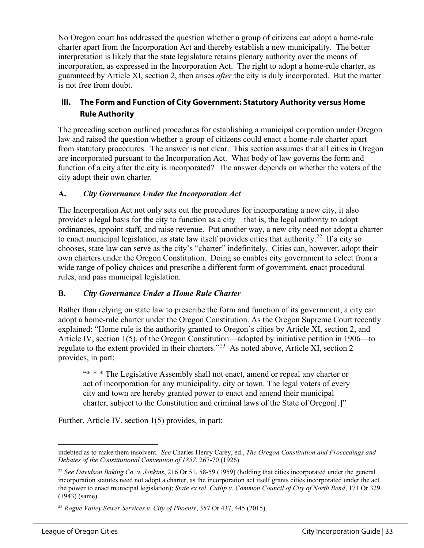No Oregon court has addressed the question whether a group of citizens can adopt a home-rule charter apart from the Incorporation Act and thereby establish a new municipality. The better interpretation is likely that the state legislature retains plenary authority over the means of incorporation, as expressed in the Incorporation Act. The right to adopt a home-rule charter, as guaranteed by Article XI, section 2, then arises *after* the city is duly incorporated. But the matter is not free from doubt.

#### **III. The Form and Function of City Government: Statutory Authority versus Home Rule Authority**

The preceding section outlined procedures for establishing a municipal corporation under Oregon law and raised the question whether a group of citizens could enact a home-rule charter apart from statutory procedures. The answer is not clear. This section assumes that all cities in Oregon are incorporated pursuant to the Incorporation Act. What body of law governs the form and function of a city after the city is incorporated? The answer depends on whether the voters of the city adopt their own charter.

#### **A.** *City Governance Under the Incorporation Act*

The Incorporation Act not only sets out the procedures for incorporating a new city, it also provides a legal basis for the city to function as a city—that is, the legal authority to adopt ordinances, appoint staff, and raise revenue. Put another way, a new city need not adopt a charter to enact municipal legislation, as state law itself provides cities that authority.<sup>22</sup> If a city so chooses, state law can serve as the city's "charter" indefinitely. Cities can, however, adopt their own charters under the Oregon Constitution. Doing so enables city government to select from a wide range of policy choices and prescribe a different form of government, enact procedural rules, and pass municipal legislation.

#### **B.** *City Governance Under a Home Rule Charter*

Rather than relying on state law to prescribe the form and function of its government, a city can adopt a home-rule charter under the Oregon Constitution. As the Oregon Supreme Court recently explained: "Home rule is the authority granted to Oregon's cities by Article XI, section 2, and Article IV, section 1(5), of the Oregon Constitution—adopted by initiative petition in 1906—to regulate to the extent provided in their charters."[23](#page-33-1) As noted above, Article XI, section 2 provides, in part:

"\* \* \* The Legislative Assembly shall not enact, amend or repeal any charter or act of incorporation for any municipality, city or town. The legal voters of every city and town are hereby granted power to enact and amend their municipal charter, subject to the Constitution and criminal laws of the State of Oregon[.]"

Further, Article IV, section 1(5) provides, in part:

indebted as to make them insolvent. *See* Charles Henry Carey, ed., *The Oregon Constitution and Proceedings and Debates of the Constitutional Convention of 1857*, 267-70 (1926).

<span id="page-33-0"></span><sup>22</sup> *See Davidson Baking Co. v. Jenkins*, 216 Or 51, 58-59 (1959) (holding that cities incorporated under the general incorporation statutes need not adopt a charter, as the incorporation act itself grants cities incorporated under the act the power to enact municipal legislation); *State ex rel. Cutlip v. Common Council of City of North Bend*, 171 Or 329 (1943) (same).

<span id="page-33-1"></span><sup>23</sup> *Rogue Valley Sewer Services v. City of Phoenix*, 357 Or 437, 445 (2015).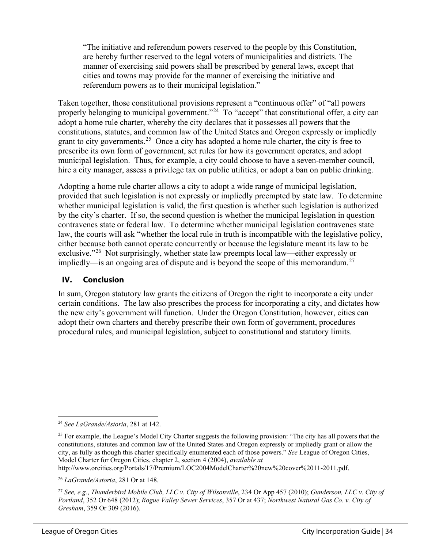"The initiative and referendum powers reserved to the people by this Constitution, are hereby further reserved to the legal voters of municipalities and districts. The manner of exercising said powers shall be prescribed by general laws, except that cities and towns may provide for the manner of exercising the initiative and referendum powers as to their municipal legislation."

Taken together, those constitutional provisions represent a "continuous offer" of "all powers properly belonging to municipal government."<sup>[24](#page-34-0)</sup> To "accept" that constitutional offer, a city can adopt a home rule charter, whereby the city declares that it possesses all powers that the constitutions, statutes, and common law of the United States and Oregon expressly or impliedly grant to city governments.<sup>25</sup> Once a city has adopted a home rule charter, the city is free to prescribe its own form of government, set rules for how its government operates, and adopt municipal legislation. Thus, for example, a city could choose to have a seven-member council, hire a city manager, assess a privilege tax on public utilities, or adopt a ban on public drinking.

Adopting a home rule charter allows a city to adopt a wide range of municipal legislation, provided that such legislation is not expressly or impliedly preempted by state law. To determine whether municipal legislation is valid, the first question is whether such legislation is authorized by the city's charter. If so, the second question is whether the municipal legislation in question contravenes state or federal law. To determine whether municipal legislation contravenes state law, the courts will ask "whether the local rule in truth is incompatible with the legislative policy, either because both cannot operate concurrently or because the legislature meant its law to be exclusive."<sup>[26](#page-34-2)</sup> Not surprisingly, whether state law preempts local law—either expressly or impliedly—is an ongoing area of dispute and is beyond the scope of this memorandum.<sup>[27](#page-34-3)</sup>

#### **IV. Conclusion**

In sum, Oregon statutory law grants the citizens of Oregon the right to incorporate a city under certain conditions. The law also prescribes the process for incorporating a city, and dictates how the new city's government will function. Under the Oregon Constitution, however, cities can adopt their own charters and thereby prescribe their own form of government, procedures procedural rules, and municipal legislation, subject to constitutional and statutory limits.

http://www.orcities.org/Portals/17/Premium/LOC2004ModelCharter%20new%20cover%2011-2011.pdf.

<span id="page-34-0"></span><sup>24</sup> *See LaGrande/Astoria*, 281 at 142.

<span id="page-34-1"></span><sup>&</sup>lt;sup>25</sup> For example, the League's Model City Charter suggests the following provision: "The city has all powers that the constitutions, statutes and common law of the United States and Oregon expressly or impliedly grant or allow the city, as fully as though this charter specifically enumerated each of those powers." *See* League of Oregon Cities, Model Charter for Oregon Cities, chapter 2, section 4 (2004), *available at* 

<span id="page-34-2"></span><sup>26</sup> *LaGrande/Astoria*, 281 Or at 148.

<span id="page-34-3"></span><sup>27</sup> *See, e.g.*, *Thunderbird Mobile Club, LLC v. City of Wilsonville*, 234 Or App 457 (2010); *Gunderson, LLC v. City of Portland*, 352 Or 648 (2012); *Rogue Valley Sewer Services*, 357 Or at 437; *Northwest Natural Gas Co. v. City of Gresham*, 359 Or 309 (2016).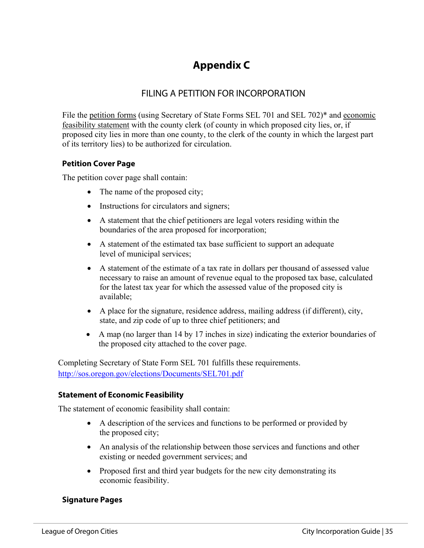# **Appendix C**

## FILING A PETITION FOR INCORPORATION

File the petition forms (using Secretary of State Forms SEL 701 and SEL 702)\* and economic feasibility statement with the county clerk (of county in which proposed city lies, or, if proposed city lies in more than one county, to the clerk of the county in which the largest part of its territory lies) to be authorized for circulation.

#### **Petition Cover Page**

The petition cover page shall contain:

- The name of the proposed city;
- Instructions for circulators and signers;
- A statement that the chief petitioners are legal voters residing within the boundaries of the area proposed for incorporation;
- A statement of the estimated tax base sufficient to support an adequate level of municipal services;
- A statement of the estimate of a tax rate in dollars per thousand of assessed value necessary to raise an amount of revenue equal to the proposed tax base, calculated for the latest tax year for which the assessed value of the proposed city is available;
- A place for the signature, residence address, mailing address (if different), city, state, and zip code of up to three chief petitioners; and
- A map (no larger than 14 by 17 inches in size) indicating the exterior boundaries of the proposed city attached to the cover page.

Completing Secretary of State Form SEL 701 fulfills these requirements. <http://sos.oregon.gov/elections/Documents/SEL701.pdf>

#### **Statement of Economic Feasibility**

The statement of economic feasibility shall contain:

- A description of the services and functions to be performed or provided by the proposed city;
- An analysis of the relationship between those services and functions and other existing or needed government services; and
- Proposed first and third year budgets for the new city demonstrating its economic feasibility.

#### **Signature Pages**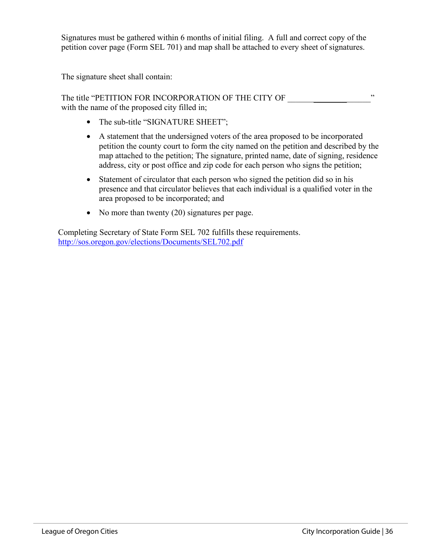Signatures must be gathered within 6 months of initial filing. A full and correct copy of the petition cover page (Form SEL 701) and map shall be attached to every sheet of signatures.

The signature sheet shall contain:

The title "PETITION FOR INCORPORATION OF THE CITY OF  $\cdots$ with the name of the proposed city filled in;

- The sub-title "SIGNATURE SHEET";
- A statement that the undersigned voters of the area proposed to be incorporated petition the county court to form the city named on the petition and described by the map attached to the petition; The signature, printed name, date of signing, residence address, city or post office and zip code for each person who signs the petition;
- Statement of circulator that each person who signed the petition did so in his presence and that circulator believes that each individual is a qualified voter in the area proposed to be incorporated; and
- No more than twenty (20) signatures per page.

Completing Secretary of State Form SEL 702 fulfills these requirements. <http://sos.oregon.gov/elections/Documents/SEL702.pdf>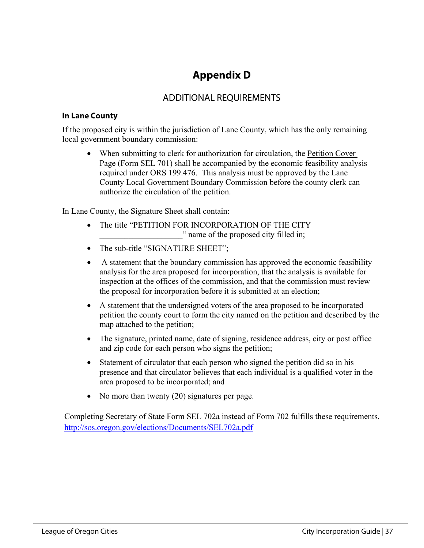# **Appendix D**

## ADDITIONAL REQUIREMENTS

#### **In Lane County**

If the proposed city is within the jurisdiction of Lane County, which has the only remaining local government boundary commission:

• When submitting to clerk for authorization for circulation, the Petition Cover Page (Form SEL 701) shall be accompanied by the economic feasibility analysis required under ORS 199.476. This analysis must be approved by the Lane County Local Government Boundary Commission before the county clerk can authorize the circulation of the petition.

In Lane County, the Signature Sheet shall contain:

- The title "PETITION FOR INCORPORATION OF THE CITY " name of the proposed city filled in;
- The sub-title "SIGNATURE SHEET";
- A statement that the boundary commission has approved the economic feasibility analysis for the area proposed for incorporation, that the analysis is available for inspection at the offices of the commission, and that the commission must review the proposal for incorporation before it is submitted at an election;
- A statement that the undersigned voters of the area proposed to be incorporated petition the county court to form the city named on the petition and described by the map attached to the petition;
- The signature, printed name, date of signing, residence address, city or post office and zip code for each person who signs the petition;
- Statement of circulator that each person who signed the petition did so in his presence and that circulator believes that each individual is a qualified voter in the area proposed to be incorporated; and
- No more than twenty (20) signatures per page.

Completing Secretary of State Form SEL 702a instead of Form 702 fulfills these requirements. <http://sos.oregon.gov/elections/Documents/SEL702a.pdf>